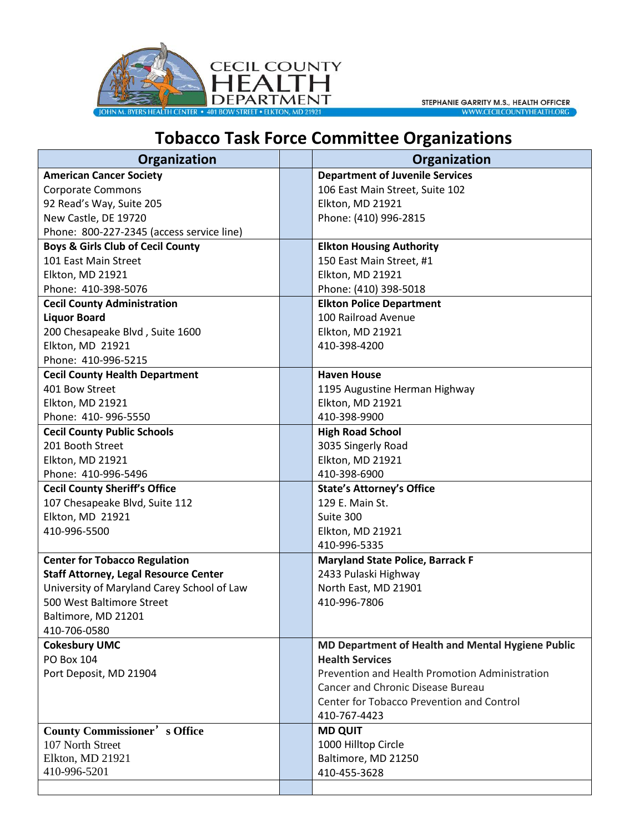

## **TOBACCO TASK FORCE COMMITTEE ORGANIZATIONS**

| Organization                                 | Organization                                      |
|----------------------------------------------|---------------------------------------------------|
| <b>American Cancer Society</b>               | <b>Department of Juvenile Services</b>            |
| <b>Corporate Commons</b>                     | 106 East Main Street, Suite 102                   |
| 92 Read's Way, Suite 205                     | Elkton, MD 21921                                  |
| New Castle, DE 19720                         | Phone: (410) 996-2815                             |
| Phone: 800-227-2345 (access service line)    |                                                   |
| <b>Boys &amp; Girls Club of Cecil County</b> | <b>Elkton Housing Authority</b>                   |
| 101 East Main Street                         | 150 East Main Street, #1                          |
| Elkton, MD 21921                             | Elkton, MD 21921                                  |
| Phone: 410-398-5076                          | Phone: (410) 398-5018                             |
| <b>Cecil County Administration</b>           | <b>Elkton Police Department</b>                   |
| <b>Liquor Board</b>                          | 100 Railroad Avenue                               |
| 200 Chesapeake Blvd, Suite 1600              | Elkton, MD 21921                                  |
| Elkton, MD 21921                             | 410-398-4200                                      |
| Phone: 410-996-5215                          |                                                   |
| <b>Cecil County Health Department</b>        | <b>Haven House</b>                                |
| 401 Bow Street                               | 1195 Augustine Herman Highway                     |
| Elkton, MD 21921                             | Elkton, MD 21921                                  |
| Phone: 410-996-5550                          | 410-398-9900                                      |
| <b>Cecil County Public Schools</b>           | <b>High Road School</b>                           |
| 201 Booth Street                             | 3035 Singerly Road                                |
| Elkton, MD 21921                             | Elkton, MD 21921                                  |
| Phone: 410-996-5496                          | 410-398-6900                                      |
| <b>Cecil County Sheriff's Office</b>         | <b>State's Attorney's Office</b>                  |
| 107 Chesapeake Blvd, Suite 112               | 129 E. Main St.                                   |
| Elkton, MD 21921                             | Suite 300                                         |
| 410-996-5500                                 | Elkton, MD 21921                                  |
|                                              | 410-996-5335                                      |
| <b>Center for Tobacco Regulation</b>         | <b>Maryland State Police, Barrack F</b>           |
| <b>Staff Attorney, Legal Resource Center</b> | 2433 Pulaski Highway                              |
| University of Maryland Carey School of Law   | North East, MD 21901                              |
| 500 West Baltimore Street                    | 410-996-7806                                      |
| Baltimore, MD 21201                          |                                                   |
| 410-706-0580                                 |                                                   |
| <b>Cokesbury UMC</b>                         | MD Department of Health and Mental Hygiene Public |
| PO Box 104                                   | <b>Health Services</b>                            |
| Port Deposit, MD 21904                       | Prevention and Health Promotion Administration    |
|                                              | Cancer and Chronic Disease Bureau                 |
|                                              | Center for Tobacco Prevention and Control         |
|                                              | 410-767-4423                                      |
| <b>County Commissioner's Office</b>          | <b>MD QUIT</b>                                    |
| 107 North Street                             | 1000 Hilltop Circle                               |
| Elkton, MD 21921                             | Baltimore, MD 21250                               |
| 410-996-5201                                 | 410-455-3628                                      |
|                                              |                                                   |